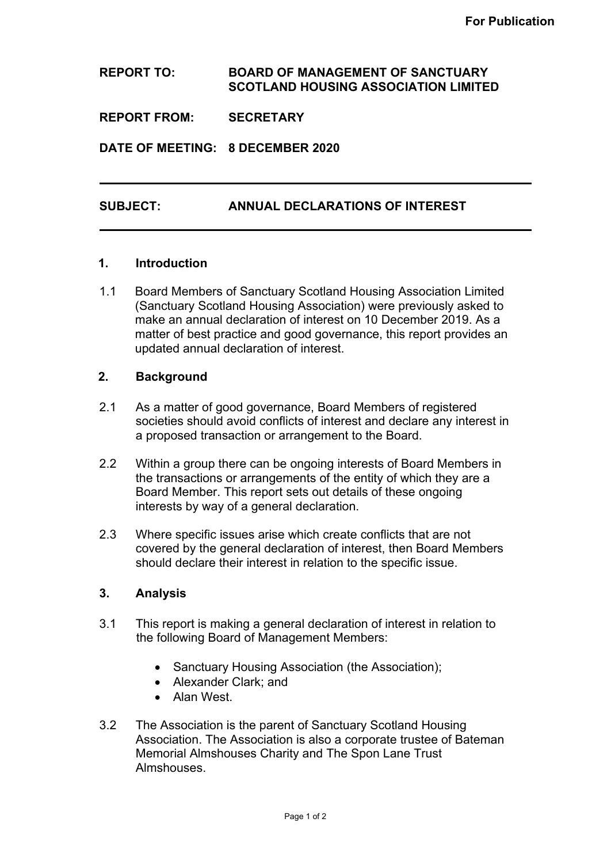**REPORT TO: BOARD OF MANAGEMENT OF SANCTUARY SCOTLAND HOUSING ASSOCIATION LIMITED** 

**REPORT FROM: SECRETARY**

**DATE OF MEETING: 8 DECEMBER 2020**

### **SUBJECT: ANNUAL DECLARATIONS OF INTEREST**

#### **1. Introduction**

1.1 Board Members of Sanctuary Scotland Housing Association Limited (Sanctuary Scotland Housing Association) were previously asked to make an annual declaration of interest on 10 December 2019. As a matter of best practice and good governance, this report provides an updated annual declaration of interest.

# **2. Background**

- 2.1 As a matter of good governance, Board Members of registered societies should avoid conflicts of interest and declare any interest in a proposed transaction or arrangement to the Board.
- 2.2 Within a group there can be ongoing interests of Board Members in the transactions or arrangements of the entity of which they are a Board Member. This report sets out details of these ongoing interests by way of a general declaration.
- 2.3 Where specific issues arise which create conflicts that are not covered by the general declaration of interest, then Board Members should declare their interest in relation to the specific issue.

### **3. Analysis**

- 3.1 This report is making a general declaration of interest in relation to the following Board of Management Members:
	- Sanctuary Housing Association (the Association);
	- Alexander Clark; and
	- Alan West.
- 3.2 The Association is the parent of Sanctuary Scotland Housing Association. The Association is also a corporate trustee of Bateman Memorial Almshouses Charity and The Spon Lane Trust Almshouses.